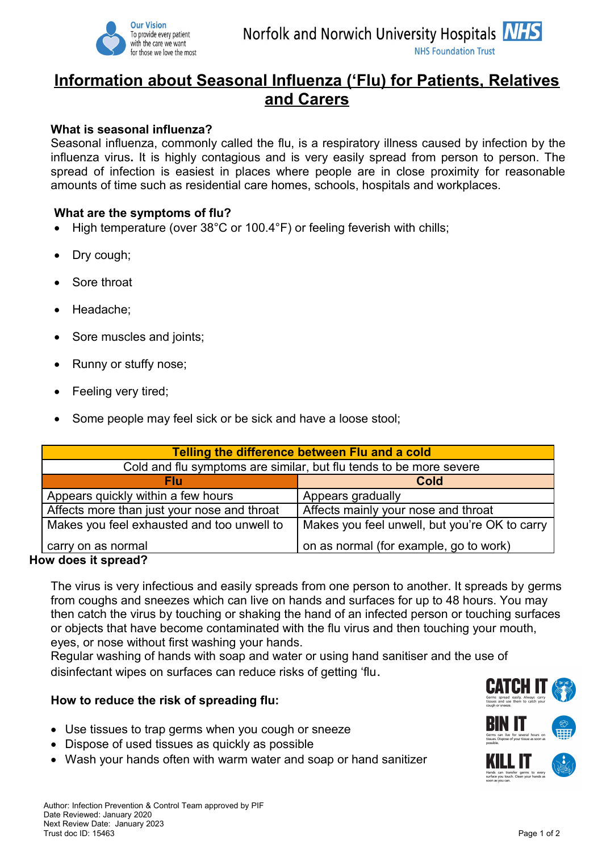

# **Information about Seasonal Influenza ('Flu) for Patients, Relatives and Carers**

#### **What is seasonal influenza?**

Seasonal influenza, commonly called the flu, is a respiratory illness caused by infection by the influenza virus**.** It is highly contagious and is very easily spread from person to person. The spread of infection is easiest in places where people are in close proximity for reasonable amounts of time such as residential care homes, schools, hospitals and workplaces.

#### **What are the symptoms of flu?**

- High temperature (over 38°C or 100.4°F) or feeling feverish with chills;
- Dry cough;
- Sore throat
- Headache;
- Sore muscles and joints;
- Runny or stuffy nose;
- Feeling very tired;
- Some people may feel sick or be sick and have a loose stool;

| Telling the difference between Flu and a cold                      |                                               |
|--------------------------------------------------------------------|-----------------------------------------------|
| Cold and flu symptoms are similar, but flu tends to be more severe |                                               |
| Flu                                                                | Cold                                          |
| Appears quickly within a few hours                                 | Appears gradually                             |
| Affects more than just your nose and throat                        | Affects mainly your nose and throat           |
| Makes you feel exhausted and too unwell to                         | Makes you feel unwell, but you're OK to carry |
| carry on as normal<br>Chaeuan di anah una                          | on as normal (for example, go to work)        |

#### **How does it spread?**

The virus is very infectious and easily spreads from one person to another. It spreads by germs from coughs and sneezes which can live on hands and surfaces for up to 48 hours. You may then catch the virus by touching or shaking the hand of an infected person or touching surfaces or objects that have become contaminated with the flu virus and then touching your mouth, eyes, or nose without first washing your hands.

Regular washing of hands with soap and water or using hand sanitiser and the use of disinfectant wipes on surfaces can reduce risks of getting 'flu.

#### **How to reduce the risk of spreading flu:**

- Use tissues to trap germs when you cough or sneeze
- Dispose of used tissues as quickly as possible
- Wash your hands often with warm water and soap or hand sanitizer